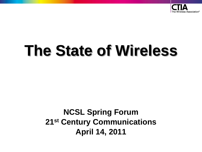

# **The State of Wireless**

## **NCSL Spring Forum 21st Century Communications April 14, 2011**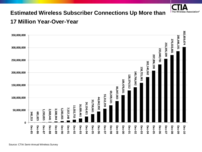

#### **Estimated Wireless Subscriber Connections Up More than**

#### **17 Million Year-Over-Year**

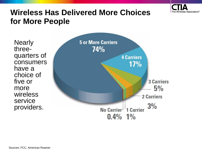

#### **Wireless Has Delivered More Choices for More People**

**Nearly** threequarters of consumers have a choice of five or more wireless service providers.

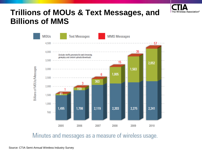

## **Trillions of MOUs & Text Messages, and Billions of MMS**



Minutes and messages as a measure of wireless usage.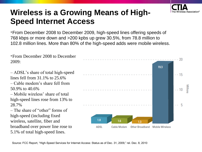

## **Wireless is a Growing Means of High-Speed Internet Access**

•From December 2008 to December 2009, high-speed lines offering speeds of 768 kbps or more down and >200 kpbs up grew 30.5%, from 78.8 million to 102.8 million lines. More than 80% of the high-speed adds were mobile wireless.

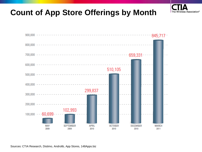

## **Count of App Store Offerings by Month**



Sources: CTIA Research, Distimo, Androlib, App Stores, 148Apps.biz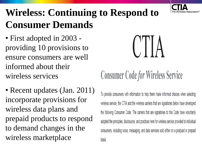

## **Wireless: Continuing to Respond to Consumer Demands**

• First adopted in 2003 providing 10 provisions to ensure consumers are well informed about their wireless services

• Recent updates (Jan. 2011) incorporate provisions for wireless data plans and prepaid products to respond to demand changes in the wireless marketplace

# $\Box$

# **Consumer Code for Wireless Service**

To provide consumers with information to help them make informed choices when selecting wireless service, the CTIA and the wireless carriers that are signatories below have developed the following Consumer Code. The carriers that are signatories to this Code have voluntarily adopted the principles, disclosures, and practices here for wireless service provided to individual consumers, including voice, messaging, and data services sold either on a postpaid or prepaid basis.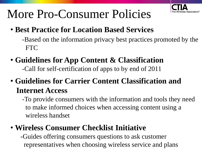

# More Pro-Consumer Policies

- **Best Practice for Location Based Services**
	- -Based on the information privacy best practices promoted by the FTC
- **Guidelines for App Content & Classification** -Call for self-certification of apps to by end of 2011
- **Guidelines for Carrier Content Classification and Internet Access**

-To provide consumers with the information and tools they need to make informed choices when accessing content using a wireless handset

## • **Wireless Consumer Checklist Initiative**

**-**Guides offering consumers questions to ask customer representatives when choosing wireless service and plans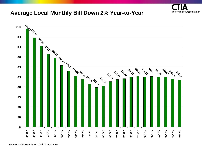

#### **Average Local Monthly Bill Down 2% Year-to-Year**

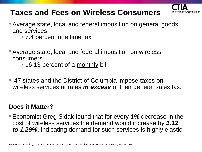

## **Taxes and Fees on Wireless Consumers**

- •Average state, local and federal imposition on general goods and services
	- 7.4 percent one time tax
- Average state, local and federal imposition on wireless consumers
	- 16.13 percent of a monthly bill
- 47 states and the District of Columbia impose taxes on wireless services at rates *in excess* of their general sales tax.

#### **Does it Matter?**

•Economist Greg Sidak found that for every *1%* decrease in the cost of wireless services the demand would increase by *1.12 to 1.29%,* indicating demand for such services is highly elastic.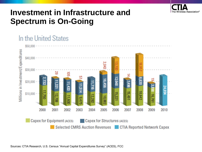

## **Investment in Infrastructure and Spectrum is On-Going**

#### \$50,000 Millions in Investment/Expenditures \$40,000 2,043 \$30,000 29 ទ្ញ 029'9 16,456 \$20,000 긓 డ్డి ৸ İ4 18,642 ಪ ಹ \$10,000 12,282 ತ **SS** á జ ā  $9,4.$ ೫ တ 88 2000 2001 2002 2003 2004 2005 2006 2007 2008 2009 2010 Capex for Equipment (ACES) Capex for Structures (ACES) Selected CMRS Auction Revenues | CTIA Reported Network Capex

#### In the United States

Sources: CTIA Research, U.S. Census "Annual Capital Expenditures Survey" (ACES), FCC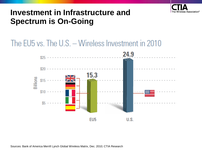

### **Investment in Infrastructure and Spectrum is On-Going**

#### The EU5 vs. The U.S. - Wireless Investment in 2010

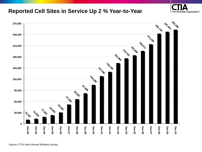#### **Reported Cell Sites in Service Up 2 % Year-to-Year**



The Wireless Association®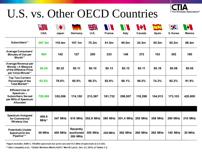# U.S. vs. Other OECD Countries

|                                                                                                              | <b>USA</b>      | Japan          | Germany                                 | <b>NIZ</b><br>ZW<br><b>U.K.</b> | <b>France</b>  | <b>Italy</b>   | U<br>Canada    | W<br><b>Spain</b> | $\bullet$<br>S. Korea | W<br><b>Mexico</b> |
|--------------------------------------------------------------------------------------------------------------|-----------------|----------------|-----------------------------------------|---------------------------------|----------------|----------------|----------------|-------------------|-----------------------|--------------------|
| Subscribers**                                                                                                | 297.3m          | 116.4m         | 107.1m                                  | 75.3m                           | 61.5m          | 90.0m          | 24.3m          | 55.5m             | 50.2 <sub>m</sub>     | 88.4m              |
| <b>Average Consumers'</b><br>Minutes of Use per<br>Month**                                                   | 804             | 142            | 127                                     | 200                             | 233            | 148            | 372            | 153               | 302                   | 185                |
| Average Revenue per<br>Minute - A Measure<br>of the Effective Price<br>per Voice Minute**                    | \$0.04          | \$0.22         | \$0.11                                  | \$0.10                          | \$0.13         | \$0.12         | \$0.11         | \$0.16            | \$0.08                | \$0.05             |
| <b>Top Two Carriers</b><br>Percentage of the<br><b>Total Market**</b>                                        | 62.5%           | 76.6%          | 65.9%                                   | 66.2%                           | 82.6%          | 68.1%          | 66.5%          | 74.3%             | 82.2%                 | 91.9%              |
| <b>Efficient Use of</b><br>Spectrum-<br><b>Subscribers Served</b><br>per MHz of Spectrum<br><b>Allocated</b> | 726,095         | 335,556        | 174,150                                 | 213,387                         | 161,732        | 298,507        | 118,298        | 154,913           | 173,103               | 420,800            |
|                                                                                                              |                 |                |                                         |                                 |                |                |                |                   |                       |                    |
| <b>Spectrum Assigned</b><br>for Commercial<br><b>Wireless Use</b>                                            | 409.5<br>$MHz*$ | <b>347 MHz</b> | <b>615 MHz</b>                          | 352.8 MHz                       | <b>380 MHz</b> | 301.4 MHz      | <b>205 MHz</b> | <b>358 MHz</b>    | <b>290 MHz</b>        | <b>210 MHz</b>     |
| <b>Potentially Usable</b><br>Spectrum/In the<br>Pipeline***                                                  | 50 MHz          | <b>400 MHz</b> | Recently<br>auctioned<br><b>350 MHz</b> | <b>355 MHz</b>                  | <b>250 MHz</b> | <b>262 MHz</b> | <b>260 MHz</b> | <b>262 MHz</b>    | <b>140 MHz</b>        | 30 MHz             |

The Wireless Association®

\*Figure includes AWS-1, 700 MHz spectrum not yet in use and 55.5 MHz of spectrum at 2.5 GHz.

\*\* Glen Campbell, et al., "Global Wireless Matrix 4Q10," Merrill Lynch, Dec. 23, 2010, at Tables 1-2.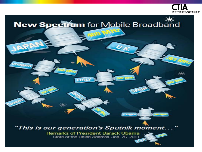

# **New Spectrum** for Mobile Broadband GERMANY **TALY** KOREA **TUESDAY** "This is our generation's Sputnik moment. **Remarks of President Barack Obama** State of the Union Address, Jan. 25, 2011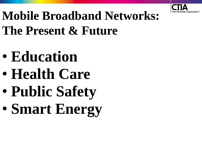

# **Mobile Broadband Networks: The Present & Future**

- **Education**
- **Health Care**
- **Public Safety**
- **Smart Energy**